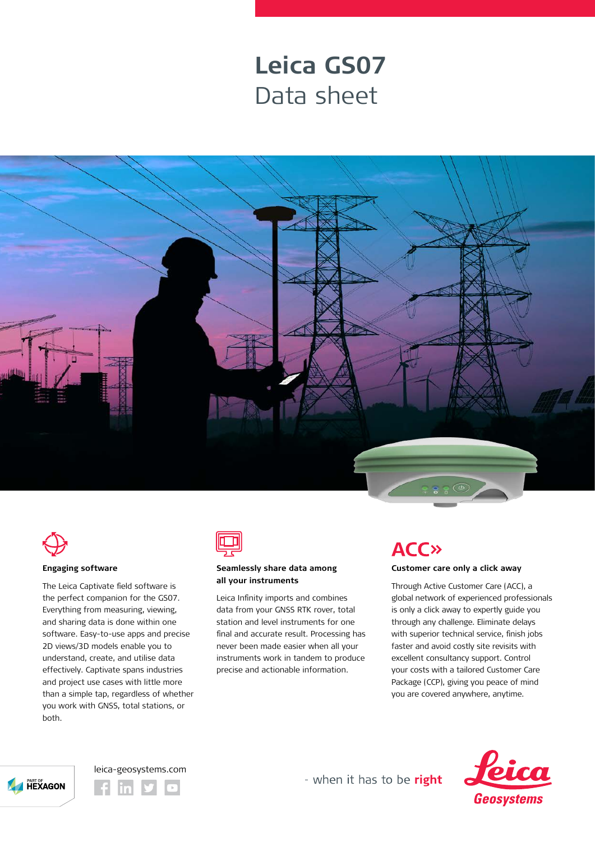## **Leica GS07** Data sheet





#### **Engaging software**

The Leica Captivate field software is the perfect companion for the GS07. Everything from measuring, viewing, and sharing data is done within one software. Easy-to-use apps and precise 2D views/3D models enable you to understand, create, and utilise data effectively. Captivate spans industries and project use cases with little more than a simple tap, regardless of whether you work with GNSS, total stations, or both.



### **Seamlessly share data among all your instruments**

Leica Infinity imports and combines data from your GNSS RTK rover, total station and level instruments for one final and accurate result. Processing has never been made easier when all your instruments work in tandem to produce precise and actionable information.

## **ACC»**

### **Customer care only a click away**

Through Active Customer Care (ACC), a global network of experienced professionals is only a click away to expertly guide you through any challenge. Eliminate delays with superior technical service, finish jobs faster and avoid costly site revisits with excellent consultancy support. Control your costs with a tailored Customer Care Package (CCP), giving you peace of mind you are covered anywhere, anytime.







- when it has to be right